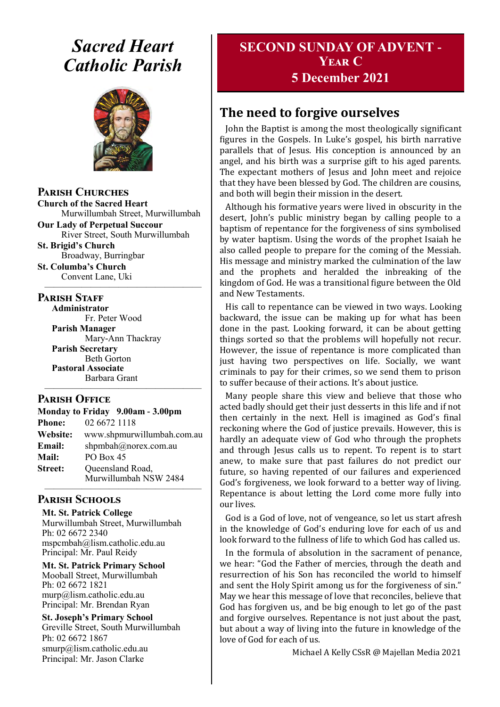# *Sacred Heart Catholic Parish*



**Parish Churches**

**Church of the Sacred Heart** Murwillumbah Street, Murwillumbah

**Our Lady of Perpetual Succour** River Street, South Murwillumbah **St. Brigid's Church**

Broadway, Burringbar **St. Columba's Church**

Convent Lane, Uki —————————————————

#### **PARISH STAFF**

**Administrator** Fr. Peter Wood **Parish Manager** Mary-Ann Thackray **Parish Secretary** Beth Gorton **Pastoral Associate** Barbara Grant —————————————————

#### **Parish Office**

| Monday to Friday 9.00am - 3.00pm |                                           |
|----------------------------------|-------------------------------------------|
| <b>Phone:</b>                    | 02 6672 1118                              |
| Website:                         | www.shpmurwillumbah.com.au                |
| Email:                           | shpmbah@norex.com.au                      |
| <b>Mail:</b>                     | PO Box 45                                 |
| <b>Street:</b>                   | Queensland Road,<br>Murwillumbah NSW 2484 |
|                                  |                                           |

## **Parish Schools**

**Mt. St. Patrick College** Murwillumbah Street, Murwillumbah Ph: 02 6672 2340 mspcmbah@lism.catholic.edu.au Principal: Mr. Paul Reidy

**Mt. St. Patrick Primary School** Mooball Street, Murwillumbah Ph: 02 6672 1821 murp@lism.catholic.edu.au Principal: Mr. Brendan Ryan

**St. Joseph's Primary School** Greville Street, South Murwillumbah Ph: 02 6672 1867 smurp@lism.catholic.edu.au Principal: Mr. Jason Clarke

## **SECOND SUNDAY OF ADVENT - Year C 5 December 2021**

# **The need to forgive ourselves**

John the Baptist is among the most theologically significant figures in the Gospels. In Luke's gospel, his birth narrative parallels that of Jesus. His conception is announced by an angel, and his birth was a surprise gift to his aged parents. The expectant mothers of Jesus and John meet and rejoice that they have been blessed by God. The children are cousins, and both will begin their mission in the desert.

Although his formative years were lived in obscurity in the desert, John's public ministry began by calling people to a baptism of repentance for the forgiveness of sins symbolised by water baptism. Using the words of the prophet Isaiah he also called people to prepare for the coming of the Messiah. His message and ministry marked the culmination of the law and the prophets and heralded the inbreaking of the kingdom of God. He was a transitional figure between the Old and New Testaments.

His call to repentance can be viewed in two ways. Looking backward, the issue can be making up for what has been done in the past. Looking forward, it can be about getting things sorted so that the problems will hopefully not recur. However, the issue of repentance is more complicated than just having two perspectives on life. Socially, we want criminals to pay for their crimes, so we send them to prison to suffer because of their actions. It's about justice.

Many people share this view and believe that those who acted badly should get their just desserts in this life and if not then certainly in the next. Hell is imagined as God's final reckoning where the God of justice prevails. However, this is hardly an adequate view of God who through the prophets and through Jesus calls us to repent. To repent is to start anew, to make sure that past failures do not predict our future, so having repented of our failures and experienced God's forgiveness, we look forward to a better way of living. Repentance is about letting the Lord come more fully into our lives.

God is a God of love, not of vengeance, so let us start afresh in the knowledge of God's enduring love for each of us and look forward to the fullness of life to which God has called us.

In the formula of absolution in the sacrament of penance, we hear: "God the Father of mercies, through the death and resurrection of his Son has reconciled the world to himself and sent the Holy Spirit among us for the forgiveness of sin." May we hear this message of love that reconciles, believe that God has forgiven us, and be big enough to let go of the past and forgive ourselves. Repentance is not just about the past, but about a way of living into the future in knowledge of the love of God for each of us.

Michael A Kelly CSsR @ Majellan Media 2021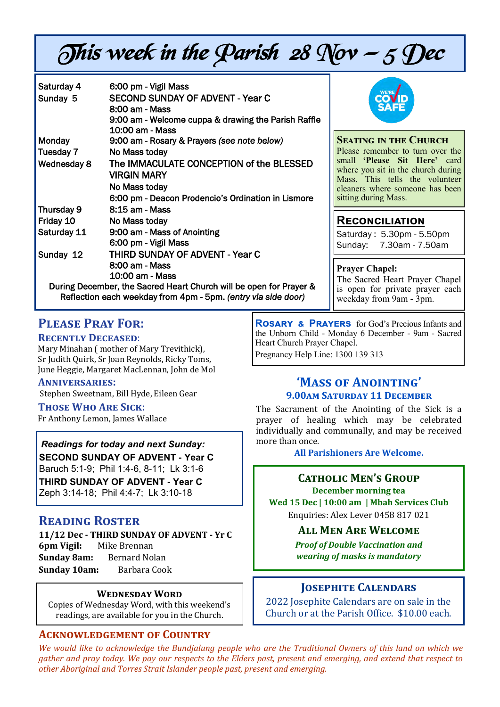# This week in the Parish 28 Nov  $-$  5 Dec

| Saturday 4<br>Sunday 5                                             | 6:00 pm - Vigil Mass<br><b>SECOND SUNDAY OF ADVENT - Year C</b><br>8:00 am - Mass<br>9:00 am - Welcome cuppa & drawing the Parish Raffle |  |
|--------------------------------------------------------------------|------------------------------------------------------------------------------------------------------------------------------------------|--|
|                                                                    | 10:00 am - Mass                                                                                                                          |  |
| <b>Monday</b>                                                      | 9:00 am - Rosary & Prayers (see note below)                                                                                              |  |
| Tuesday 7                                                          | No Mass today                                                                                                                            |  |
| Wednesday 8                                                        | The IMMACULATE CONCEPTION of the BLESSED<br>VIRGIN MARY                                                                                  |  |
|                                                                    | No Mass today                                                                                                                            |  |
|                                                                    | 6:00 pm - Deacon Prodencio's Ordination in Lismore                                                                                       |  |
| Thursday 9                                                         | 8:15 am - Mass                                                                                                                           |  |
| Friday 10                                                          | No Mass today                                                                                                                            |  |
| Saturday 11                                                        | 9:00 am - Mass of Anointing                                                                                                              |  |
|                                                                    | 6:00 pm - Vigil Mass                                                                                                                     |  |
| Sunday 12                                                          | <b>THIRD SUNDAY OF ADVENT - Year C</b>                                                                                                   |  |
|                                                                    | 8:00 am - Mass                                                                                                                           |  |
|                                                                    | 10:00 am - Mass                                                                                                                          |  |
| During December, the Sacred Heart Church will be open for Prayer & |                                                                                                                                          |  |
| Reflection each weekday from 4pm - 5pm. (entry via side door)      |                                                                                                                                          |  |



#### **Seating in the Church**

Please remember to turn over the small **'Please Sit Here'** card where you sit in the church during Mass. This tells the volunteer cleaners where someone has been sitting during Mass.

## **Reconciliation**

Saturday : 5.30pm - 5.50pm Sunday: 7.30am - 7.50am

**Prayer Chapel:**  The Sacred Heart Prayer Chapel is open for private prayer each weekday from 9am - 3pm.

## **Please Pray For:**

#### **Recently Deceased**:

Mary Minahan ( mother of Mary Trevithick), Sr Judith Quirk, Sr Joan Reynolds, Ricky Toms, June Heggie, Margaret MacLennan, John de Mol

#### **Anniversaries:**

Stephen Sweetnam, Bill Hyde, Eileen Gear

#### **Those Who Are Sick:**

Fr Anthony Lemon, James Wallace

*Readings for today and next Sunday:*  **SECOND SUNDAY OF ADVENT - Year C**  Baruch 5:1-9; Phil 1:4-6, 8-11; Lk 3:1-6 **THIRD SUNDAY OF ADVENT - Year C**  Zeph 3:14-18; Phil 4:4-7; Lk 3:10-18

## **Reading Roster**

**11/12 Dec - THIRD SUNDAY OF ADVENT - Yr C 6pm Vigil:** Mike Brennan **Sunday 8am:** Bernard Nolan **Sunday 10am:** Barbara Cook

#### **Wednesday Word**

Copies of Wednesday Word, with this weekend's readings, are available for you in the Church.

## **Acknowledgement of Country**

**Rosary & Prayers** for God's Precious Infants and the Unborn Child - Monday 6 December - 9am - Sacred Heart Church Prayer Chapel. Pregnancy Help Line: 1300 139 313

## **'Mass of Anointing' 9.00am Saturday 11 December**

The Sacrament of the Anointing of the Sick is a prayer of healing which may be celebrated individually and communally, and may be received more than once.

**All Parishioners Are Welcome.** 

#### **Catholic Men's Group December morning tea**

**Wed 15 Dec | 10:00 am | Mbah Services Club** Enquiries: Alex Lever 0458 817 021

#### **All Men Are Welcome**

*Proof of Double Vaccination and wearing of masks is mandatory* 

## **Josephite Calendars**

2022 Josephite Calendars are on sale in the Church or at the Parish Office. \$10.00 each.

*We would like to acknowledge the Bundjalung people who are the Traditional Owners of this land on which we gather and pray today. We pay our respects to the Elders past, present and emerging, and extend that respect to other Aboriginal and Torres Strait Islander people past, present and emerging.*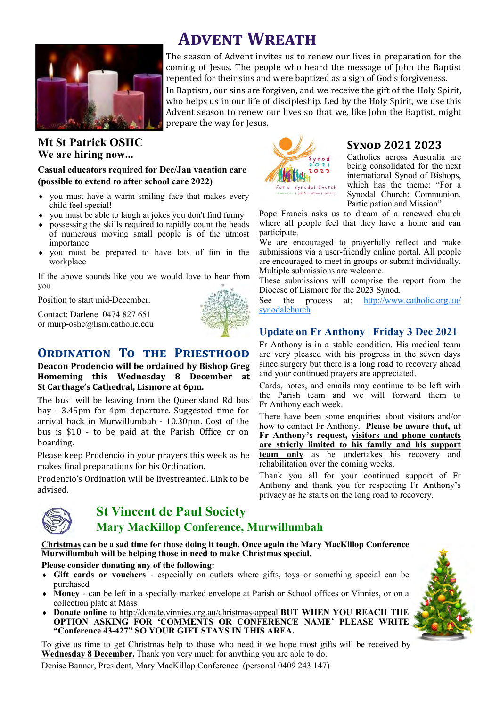

## **Mt St Patrick OSHC We are hiring now...**

#### **Casual educators required for Dec/Jan vacation care (possible to extend to after school care 2022)**

- you must have a warm smiling face that makes every child feel special!
- you must be able to laugh at jokes you don't find funny
- possessing the skills required to rapidly count the heads of numerous moving small people is of the utmost importance
- you must be prepared to have lots of fun in the workplace

If the above sounds like you we would love to hear from you.

Position to start mid-December.

Contact: Darlene 0474 827 651 or murp-oshc@lism.catholic.edu



## **ORDINATION TO THE PRIESTHOOD**

**Deacon Prodencio will be ordained by Bishop Greg Homeming this Wednesday 8 December at St Carthage's Cathedral, Lismore at 6pm.** 

The bus will be leaving from the Queensland Rd bus bay - 3.45pm for 4pm departure. Suggested time for arrival back in Murwillumbah - 10.30pm. Cost of the bus is \$10 - to be paid at the Parish Office or on boarding.

Please keep Prodencio in your prayers this week as he makes final preparations for his Ordination.

Prodencio's Ordination will be livestreamed. Link to be advised.



## **St Vincent de Paul Society Mary MacKillop Conference, Murwillumbah**

**Christmas can be a sad time for those doing it tough. Once again the Mary MacKillop Conference Murwillumbah will be helping those in need to make Christmas special.**

#### **Please consider donating any of the following:**

- **Gift cards or vouchers**  especially on outlets where gifts, toys or something special can be purchased
- **Money**  can be left in a specially marked envelope at Parish or School offices or Vinnies, or on a collection plate at Mass
- **Donate online** to http://donate.vinnies.org.au/christmas-appeal **BUT WHEN YOU REACH THE OPTION ASKING FOR 'COMMENTS OR CONFERENCE NAME' PLEASE WRITE "Conference 43-427" SO YOUR GIFT STAYS IN THIS AREA.**

To give us time to get Christmas help to those who need it we hope most gifts will be received by **Wednesday 8 December.** Thank you very much for anything you are able to do.





#### **Synod 2021 2023**

Catholics across Australia are being consolidated for the next international Synod of Bishops, which has the theme: "For a Synodal Church: Communion, Participation and Mission".

Pope Francis asks us to dream of a renewed church where all people feel that they have a home and can participate.

We are encouraged to prayerfully reflect and make submissions via a user-friendly online portal. All people are encouraged to meet in groups or submit individually. Multiple submissions are welcome.

These submissions will comprise the report from the Diocese of Lismore for the 2023 Synod.

See the process at: [http://www.catholic.org.au/](http://www.catholic.org.au/synodalchurch) [synodalchurch](http://www.catholic.org.au/synodalchurch)

#### **Update on Fr Anthony | Friday 3 Dec 2021**

Fr Anthony is in a stable condition. His medical team are very pleased with his progress in the seven days since surgery but there is a long road to recovery ahead and your continued prayers are appreciated.

Cards, notes, and emails may continue to be left with the Parish team and we will forward them to Fr Anthony each week.

There have been some enquiries about visitors and/or how to contact Fr Anthony. **Please be aware that, at Fr Anthony's request, visitors and phone contacts are strictly limited to his family and his support team only** as he undertakes his recovery and rehabilitation over the coming weeks.

Thank you all for your continued support of Fr Anthony and thank you for respecting Fr Anthony's privacy as he starts on the long road to recovery.



 **Advent Wreath**

The season of Advent invites us to renew our lives in preparation for the coming of Jesus. The people who heard the message of John the Baptist repented for their sins and were baptized as a sign of God's forgiveness.

In Baptism, our sins are forgiven, and we receive the gift of the Holy Spirit, who helps us in our life of discipleship. Led by the Holy Spirit, we use this Advent season to renew our lives so that we, like John the Baptist, might prepare the way for Jesus.